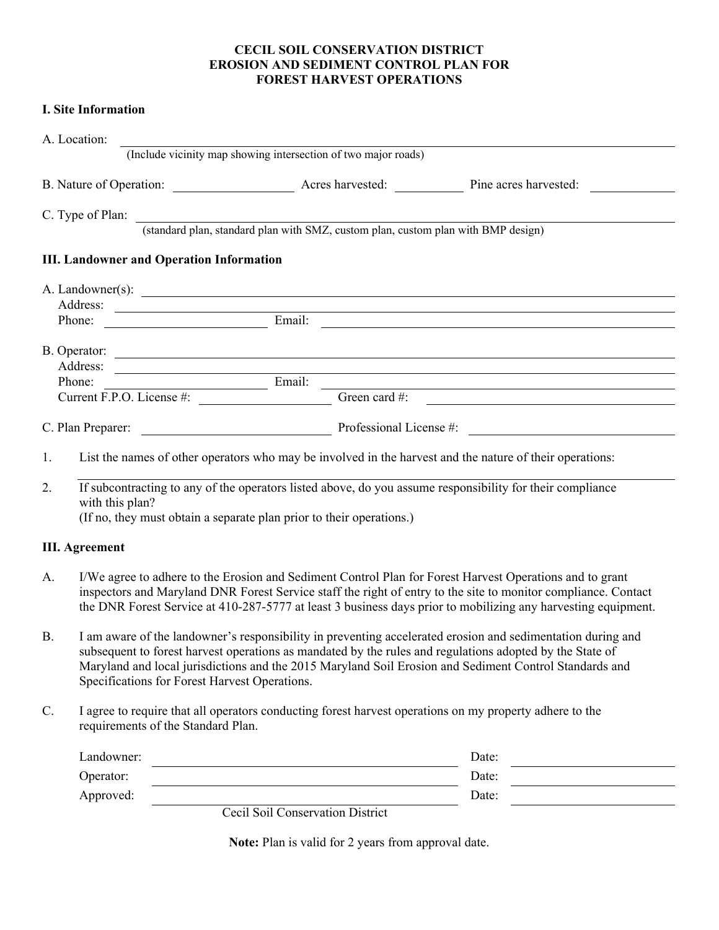#### **CECIL SOIL CONSERVATION DISTRICT EROSION AND SEDIMENT CONTROL PLAN FOR FOREST HARVEST OPERATIONS**

# **I. Site Information**

| A. Location: |                                                                                                                                                                                                                                                                                                                                                                                    |                                                                                   |                                  |                                                                                                                      |       |                                                                                                                                                                                                                                                                                                                                             |  |
|--------------|------------------------------------------------------------------------------------------------------------------------------------------------------------------------------------------------------------------------------------------------------------------------------------------------------------------------------------------------------------------------------------|-----------------------------------------------------------------------------------|----------------------------------|----------------------------------------------------------------------------------------------------------------------|-------|---------------------------------------------------------------------------------------------------------------------------------------------------------------------------------------------------------------------------------------------------------------------------------------------------------------------------------------------|--|
|              |                                                                                                                                                                                                                                                                                                                                                                                    | (Include vicinity map showing intersection of two major roads)                    |                                  |                                                                                                                      |       |                                                                                                                                                                                                                                                                                                                                             |  |
|              |                                                                                                                                                                                                                                                                                                                                                                                    |                                                                                   |                                  |                                                                                                                      |       |                                                                                                                                                                                                                                                                                                                                             |  |
|              | C. Type of Plan:                                                                                                                                                                                                                                                                                                                                                                   |                                                                                   |                                  |                                                                                                                      |       |                                                                                                                                                                                                                                                                                                                                             |  |
|              |                                                                                                                                                                                                                                                                                                                                                                                    | (standard plan, standard plan with SMZ, custom plan, custom plan with BMP design) |                                  |                                                                                                                      |       |                                                                                                                                                                                                                                                                                                                                             |  |
|              |                                                                                                                                                                                                                                                                                                                                                                                    | <b>III. Landowner and Operation Information</b>                                   |                                  |                                                                                                                      |       |                                                                                                                                                                                                                                                                                                                                             |  |
|              |                                                                                                                                                                                                                                                                                                                                                                                    |                                                                                   |                                  |                                                                                                                      |       |                                                                                                                                                                                                                                                                                                                                             |  |
|              |                                                                                                                                                                                                                                                                                                                                                                                    |                                                                                   |                                  |                                                                                                                      |       | Address: Phone: Email: Email: 2007                                                                                                                                                                                                                                                                                                          |  |
|              |                                                                                                                                                                                                                                                                                                                                                                                    |                                                                                   |                                  |                                                                                                                      |       |                                                                                                                                                                                                                                                                                                                                             |  |
|              |                                                                                                                                                                                                                                                                                                                                                                                    |                                                                                   |                                  |                                                                                                                      |       | Address: <u>New York: Address:</u> New York: New York: New York: New York: New York: New York: New York: New York: New York: New York: New York: New York: New York: New York: New York: New York: New York: New York: New York: Ne                                                                                                         |  |
|              | Phone:                                                                                                                                                                                                                                                                                                                                                                             | $\frac{1}{2\pi}$ Email:                                                           |                                  | Green card #:                                                                                                        |       | <u> 1989 - Johann Stoff, deutscher Stoffen und der Stoffen und der Stoffen und der Stoffen und der Stoffen und der</u>                                                                                                                                                                                                                      |  |
|              |                                                                                                                                                                                                                                                                                                                                                                                    | Current F.P.O. License #:                                                         |                                  |                                                                                                                      |       |                                                                                                                                                                                                                                                                                                                                             |  |
|              | C. Plan Preparer:                                                                                                                                                                                                                                                                                                                                                                  |                                                                                   |                                  |                                                                                                                      |       | Professional License #:                                                                                                                                                                                                                                                                                                                     |  |
| 1.           |                                                                                                                                                                                                                                                                                                                                                                                    |                                                                                   |                                  |                                                                                                                      |       | List the names of other operators who may be involved in the harvest and the nature of their operations:                                                                                                                                                                                                                                    |  |
| 2.           |                                                                                                                                                                                                                                                                                                                                                                                    |                                                                                   |                                  |                                                                                                                      |       | If subcontracting to any of the operators listed above, do you assume responsibility for their compliance                                                                                                                                                                                                                                   |  |
|              | with this plan?                                                                                                                                                                                                                                                                                                                                                                    | (If no, they must obtain a separate plan prior to their operations.)              |                                  |                                                                                                                      |       |                                                                                                                                                                                                                                                                                                                                             |  |
|              | <b>III.</b> Agreement                                                                                                                                                                                                                                                                                                                                                              |                                                                                   |                                  |                                                                                                                      |       |                                                                                                                                                                                                                                                                                                                                             |  |
| A.           |                                                                                                                                                                                                                                                                                                                                                                                    |                                                                                   |                                  |                                                                                                                      |       | I/We agree to adhere to the Erosion and Sediment Control Plan for Forest Harvest Operations and to grant<br>inspectors and Maryland DNR Forest Service staff the right of entry to the site to monitor compliance. Contact<br>the DNR Forest Service at 410-287-5777 at least 3 business days prior to mobilizing any harvesting equipment. |  |
| <b>B.</b>    | I am aware of the landowner's responsibility in preventing accelerated erosion and sedimentation during and<br>subsequent to forest harvest operations as mandated by the rules and regulations adopted by the State of<br>Maryland and local jurisdictions and the 2015 Maryland Soil Erosion and Sediment Control Standards and<br>Specifications for Forest Harvest Operations. |                                                                                   |                                  |                                                                                                                      |       |                                                                                                                                                                                                                                                                                                                                             |  |
| C.           | I agree to require that all operators conducting forest harvest operations on my property adhere to the<br>requirements of the Standard Plan.                                                                                                                                                                                                                                      |                                                                                   |                                  |                                                                                                                      |       |                                                                                                                                                                                                                                                                                                                                             |  |
|              | Landowner:                                                                                                                                                                                                                                                                                                                                                                         |                                                                                   |                                  |                                                                                                                      | Date: |                                                                                                                                                                                                                                                                                                                                             |  |
|              | Operator:                                                                                                                                                                                                                                                                                                                                                                          |                                                                                   |                                  | <u> 1980 - Johann Barn, mars ann an t-Amhain Aonaich an t-Aonaich an t-Aonaich ann an t-Aonaich ann an t-Aonaich</u> |       | Date:                                                                                                                                                                                                                                                                                                                                       |  |
|              | Approved:                                                                                                                                                                                                                                                                                                                                                                          |                                                                                   |                                  |                                                                                                                      |       | Date:                                                                                                                                                                                                                                                                                                                                       |  |
|              |                                                                                                                                                                                                                                                                                                                                                                                    |                                                                                   | Cecil Soil Conservation District |                                                                                                                      |       |                                                                                                                                                                                                                                                                                                                                             |  |

**Note:** Plan is valid for 2 years from approval date.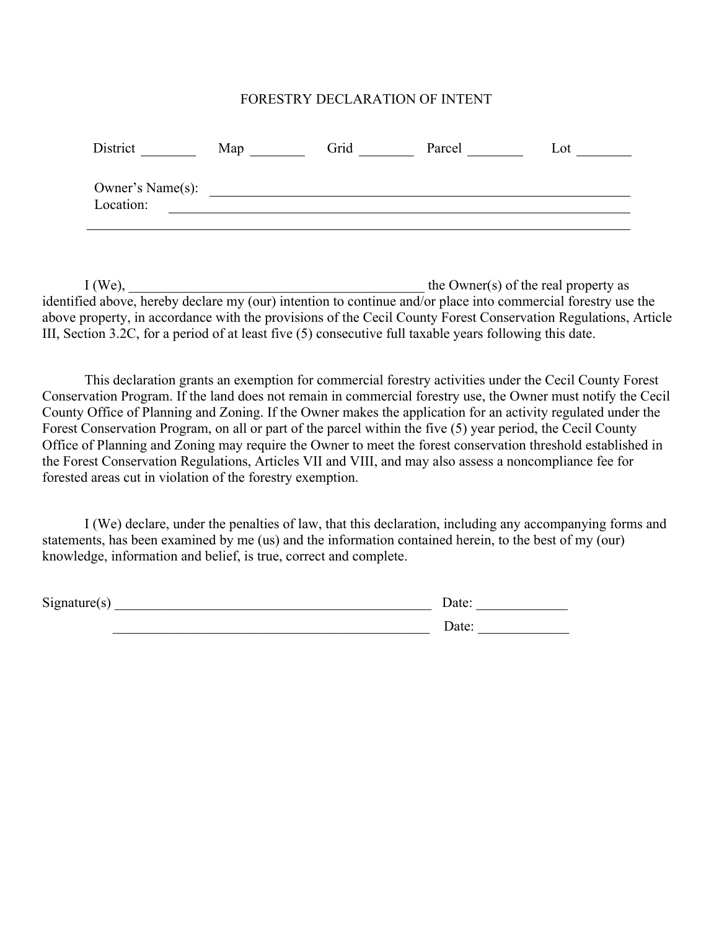### FORESTRY DECLARATION OF INTENT

| District                      | Map | Grid | Parcel | Lot |
|-------------------------------|-----|------|--------|-----|
| Owner's Name(s):<br>Location: |     |      |        |     |

 $I (We),$  the Owner(s) of the real property as identified above, hereby declare my (our) intention to continue and/or place into commercial forestry use the above property, in accordance with the provisions of the Cecil County Forest Conservation Regulations, Article III, Section 3.2C, for a period of at least five (5) consecutive full taxable years following this date.

This declaration grants an exemption for commercial forestry activities under the Cecil County Forest Conservation Program. If the land does not remain in commercial forestry use, the Owner must notify the Cecil County Office of Planning and Zoning. If the Owner makes the application for an activity regulated under the Forest Conservation Program, on all or part of the parcel within the five (5) year period, the Cecil County Office of Planning and Zoning may require the Owner to meet the forest conservation threshold established in the Forest Conservation Regulations, Articles VII and VIII, and may also assess a noncompliance fee for forested areas cut in violation of the forestry exemption.

I (We) declare, under the penalties of law, that this declaration, including any accompanying forms and statements, has been examined by me (us) and the information contained herein, to the best of my (our) knowledge, information and belief, is true, correct and complete.

Signature(s) \_\_\_\_\_\_\_\_\_\_\_\_\_\_\_\_\_\_\_\_\_\_\_\_\_\_\_\_\_\_\_\_\_\_\_\_\_\_\_\_\_\_\_\_\_ Date: \_\_\_\_\_\_\_\_\_\_\_\_\_

| ۔ م<br>я<br>٠. |  |  |  |  |
|----------------|--|--|--|--|
|                |  |  |  |  |

\_\_\_\_\_\_\_\_\_\_\_\_\_\_\_\_\_\_\_\_\_\_\_\_\_\_\_\_\_\_\_\_\_\_\_\_\_\_\_\_\_\_\_\_\_ Date: \_\_\_\_\_\_\_\_\_\_\_\_\_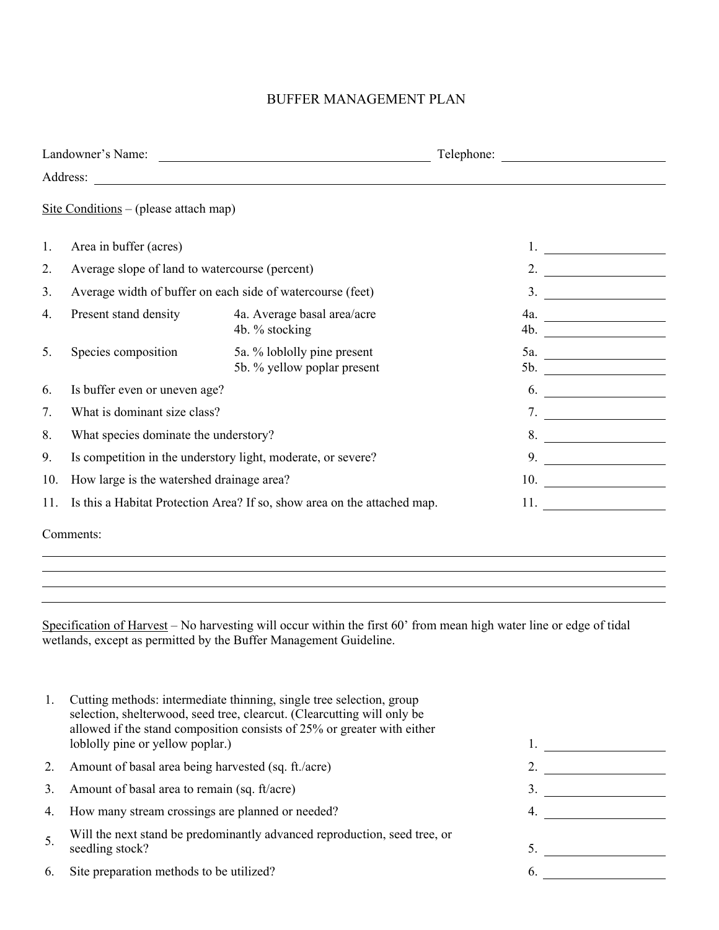# BUFFER MANAGEMENT PLAN

|     | Landowner's Name:                                                                                                                 | Telephone:                                                               |                                                                                                                                    |  |  |  |  |
|-----|-----------------------------------------------------------------------------------------------------------------------------------|--------------------------------------------------------------------------|------------------------------------------------------------------------------------------------------------------------------------|--|--|--|--|
|     | Address:<br><u> 1989 - Johann Stoff, deutscher Stoffen und der Stoffen und der Stoffen und der Stoffen und der Stoffen und de</u> |                                                                          |                                                                                                                                    |  |  |  |  |
|     | Site Conditions – (please attach map)                                                                                             |                                                                          |                                                                                                                                    |  |  |  |  |
| 1.  | Area in buffer (acres)                                                                                                            |                                                                          |                                                                                                                                    |  |  |  |  |
| 2.  | Average slope of land to watercourse (percent)                                                                                    |                                                                          | 2.                                                                                                                                 |  |  |  |  |
| 3.  |                                                                                                                                   | Average width of buffer on each side of watercourse (feet)               | 3.<br><u> 1980 - Jan Barat, prima politik (</u>                                                                                    |  |  |  |  |
| 4.  | Present stand density                                                                                                             | 4a. Average basal area/acre<br>4b. % stocking                            | <u> 1990 - Johann Barbara, martin a</u><br>4a.<br>4b.                                                                              |  |  |  |  |
| 5.  | Species composition                                                                                                               | 5a. % loblolly pine present<br>5b. % yellow poplar present               | 5a.<br>5b.<br><u> 1989 - Jan Stein Stein Stein Stein Stein Stein Stein Stein Stein Stein Stein Stein Stein Stein Stein Stein S</u> |  |  |  |  |
| 6.  | Is buffer even or uneven age?                                                                                                     |                                                                          | 6.                                                                                                                                 |  |  |  |  |
| 7.  | What is dominant size class?                                                                                                      |                                                                          | 7.                                                                                                                                 |  |  |  |  |
| 8.  | What species dominate the understory?                                                                                             |                                                                          | 8.                                                                                                                                 |  |  |  |  |
| 9.  | Is competition in the understory light, moderate, or severe?                                                                      |                                                                          | 9.                                                                                                                                 |  |  |  |  |
| 10. | How large is the watershed drainage area?                                                                                         |                                                                          | 10.<br><u> 1990 - Johann Barbara, martin a</u>                                                                                     |  |  |  |  |
| 11. |                                                                                                                                   | Is this a Habitat Protection Area? If so, show area on the attached map. | 11.                                                                                                                                |  |  |  |  |
|     | Comments:                                                                                                                         |                                                                          |                                                                                                                                    |  |  |  |  |

Specification of Harvest – No harvesting will occur within the first 60' from mean high water line or edge of tidal wetlands, except as permitted by the Buffer Management Guideline.

| Ι. | Cutting methods: intermediate thinning, single tree selection, group<br>selection, shelterwood, seed tree, clearcut. (Clearcutting will only be<br>allowed if the stand composition consists of 25% or greater with either<br>loblolly pine or yellow poplar.) |     |  |
|----|----------------------------------------------------------------------------------------------------------------------------------------------------------------------------------------------------------------------------------------------------------------|-----|--|
| 2. | Amount of basal area being harvested (sq. ft./acre)                                                                                                                                                                                                            |     |  |
| 3. | Amount of basal area to remain (sq. ft/acre)                                                                                                                                                                                                                   |     |  |
| 4. | How many stream crossings are planned or needed?                                                                                                                                                                                                               | -4. |  |
| 5. | Will the next stand be predominantly advanced reproduction, seed tree, or<br>seedling stock?                                                                                                                                                                   | 5.  |  |
| 6. | Site preparation methods to be utilized?                                                                                                                                                                                                                       | 6.  |  |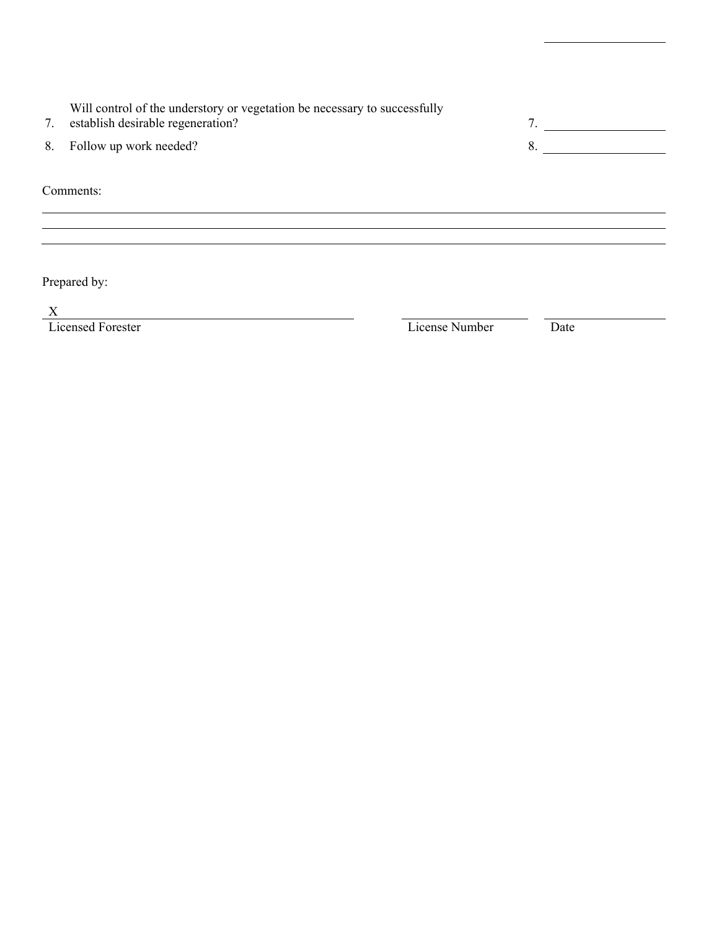| 7. | Will control of the understory or vegetation be necessary to successfully<br>establish desirable regeneration? | 7  |
|----|----------------------------------------------------------------------------------------------------------------|----|
|    | 8. Follow up work needed?                                                                                      | 8. |
|    | Comments:                                                                                                      |    |

Prepared by:

 $\frac{X}{X}$  Licensed Forester

License Number Date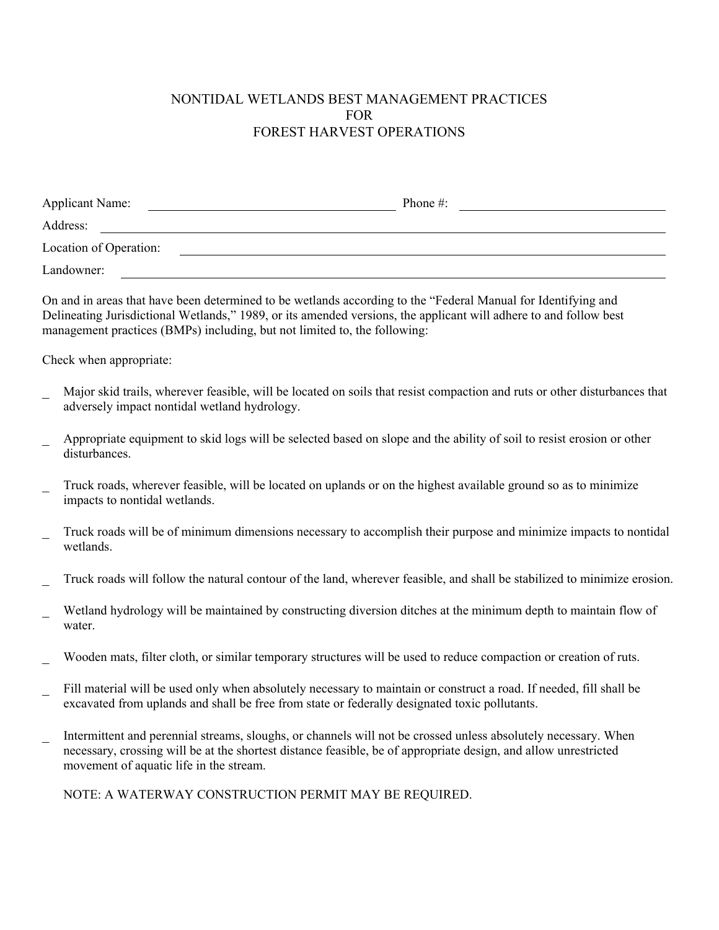# NONTIDAL WETLANDS BEST MANAGEMENT PRACTICES FOR FOREST HARVEST OPERATIONS

| <b>Applicant Name:</b> | Phone $\#$ : |  |
|------------------------|--------------|--|
| Address:               |              |  |
| Location of Operation: |              |  |
| Landowner:             |              |  |

On and in areas that have been determined to be wetlands according to the "Federal Manual for Identifying and Delineating Jurisdictional Wetlands," 1989, or its amended versions, the applicant will adhere to and follow best management practices (BMPs) including, but not limited to, the following:

Check when appropriate:

- Major skid trails, wherever feasible, will be located on soils that resist compaction and ruts or other disturbances that adversely impact nontidal wetland hydrology.
- Appropriate equipment to skid logs will be selected based on slope and the ability of soil to resist erosion or other disturbances.
- Truck roads, wherever feasible, will be located on uplands or on the highest available ground so as to minimize impacts to nontidal wetlands.
- Truck roads will be of minimum dimensions necessary to accomplish their purpose and minimize impacts to nontidal wetlands.
- Truck roads will follow the natural contour of the land, wherever feasible, and shall be stabilized to minimize erosion.
- Wetland hydrology will be maintained by constructing diversion ditches at the minimum depth to maintain flow of water.
- Wooden mats, filter cloth, or similar temporary structures will be used to reduce compaction or creation of ruts.
- Fill material will be used only when absolutely necessary to maintain or construct a road. If needed, fill shall be excavated from uplands and shall be free from state or federally designated toxic pollutants.
- Intermittent and perennial streams, sloughs, or channels will not be crossed unless absolutely necessary. When necessary, crossing will be at the shortest distance feasible, be of appropriate design, and allow unrestricted movement of aquatic life in the stream.

NOTE: A WATERWAY CONSTRUCTION PERMIT MAY BE REQUIRED.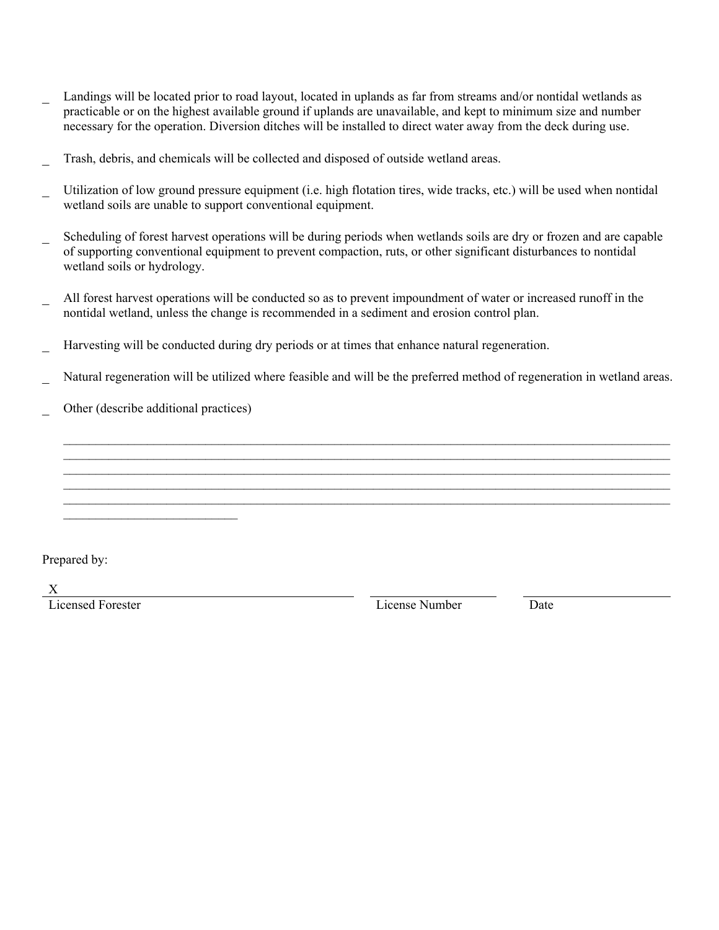- Landings will be located prior to road layout, located in uplands as far from streams and/or nontidal wetlands as practicable or on the highest available ground if uplands are unavailable, and kept to minimum size and number necessary for the operation. Diversion ditches will be installed to direct water away from the deck during use.
- Trash, debris, and chemicals will be collected and disposed of outside wetland areas.
- Utilization of low ground pressure equipment (i.e. high flotation tires, wide tracks, etc.) will be used when nontidal wetland soils are unable to support conventional equipment.
- Scheduling of forest harvest operations will be during periods when wetlands soils are dry or frozen and are capable of supporting conventional equipment to prevent compaction, ruts, or other significant disturbances to nontidal wetland soils or hydrology.
- All forest harvest operations will be conducted so as to prevent impoundment of water or increased runoff in the nontidal wetland, unless the change is recommended in a sediment and erosion control plan.
- Harvesting will be conducted during dry periods or at times that enhance natural regeneration.
- Natural regeneration will be utilized where feasible and will be the preferred method of regeneration in wetland areas.

 $\mathcal{L}_\mathcal{L} = \{ \mathcal{L}_\mathcal{L} = \{ \mathcal{L}_\mathcal{L} = \{ \mathcal{L}_\mathcal{L} = \{ \mathcal{L}_\mathcal{L} = \{ \mathcal{L}_\mathcal{L} = \{ \mathcal{L}_\mathcal{L} = \{ \mathcal{L}_\mathcal{L} = \{ \mathcal{L}_\mathcal{L} = \{ \mathcal{L}_\mathcal{L} = \{ \mathcal{L}_\mathcal{L} = \{ \mathcal{L}_\mathcal{L} = \{ \mathcal{L}_\mathcal{L} = \{ \mathcal{L}_\mathcal{L} = \{ \mathcal{L}_\mathcal{$  $\mathcal{L}_\mathcal{L} = \{ \mathcal{L}_\mathcal{L} = \{ \mathcal{L}_\mathcal{L} = \{ \mathcal{L}_\mathcal{L} = \{ \mathcal{L}_\mathcal{L} = \{ \mathcal{L}_\mathcal{L} = \{ \mathcal{L}_\mathcal{L} = \{ \mathcal{L}_\mathcal{L} = \{ \mathcal{L}_\mathcal{L} = \{ \mathcal{L}_\mathcal{L} = \{ \mathcal{L}_\mathcal{L} = \{ \mathcal{L}_\mathcal{L} = \{ \mathcal{L}_\mathcal{L} = \{ \mathcal{L}_\mathcal{L} = \{ \mathcal{L}_\mathcal{$  $\mathcal{L}_\mathcal{L} = \mathcal{L}_\mathcal{L} = \mathcal{L}_\mathcal{L} = \mathcal{L}_\mathcal{L} = \mathcal{L}_\mathcal{L} = \mathcal{L}_\mathcal{L} = \mathcal{L}_\mathcal{L} = \mathcal{L}_\mathcal{L} = \mathcal{L}_\mathcal{L} = \mathcal{L}_\mathcal{L} = \mathcal{L}_\mathcal{L} = \mathcal{L}_\mathcal{L} = \mathcal{L}_\mathcal{L} = \mathcal{L}_\mathcal{L} = \mathcal{L}_\mathcal{L} = \mathcal{L}_\mathcal{L} = \mathcal{L}_\mathcal{L}$  $\mathcal{L}_\mathcal{L} = \{ \mathcal{L}_\mathcal{L} = \{ \mathcal{L}_\mathcal{L} = \{ \mathcal{L}_\mathcal{L} = \{ \mathcal{L}_\mathcal{L} = \{ \mathcal{L}_\mathcal{L} = \{ \mathcal{L}_\mathcal{L} = \{ \mathcal{L}_\mathcal{L} = \{ \mathcal{L}_\mathcal{L} = \{ \mathcal{L}_\mathcal{L} = \{ \mathcal{L}_\mathcal{L} = \{ \mathcal{L}_\mathcal{L} = \{ \mathcal{L}_\mathcal{L} = \{ \mathcal{L}_\mathcal{L} = \{ \mathcal{L}_\mathcal{$  $\mathcal{L}_\mathcal{L} = \{ \mathcal{L}_\mathcal{L} = \{ \mathcal{L}_\mathcal{L} = \{ \mathcal{L}_\mathcal{L} = \{ \mathcal{L}_\mathcal{L} = \{ \mathcal{L}_\mathcal{L} = \{ \mathcal{L}_\mathcal{L} = \{ \mathcal{L}_\mathcal{L} = \{ \mathcal{L}_\mathcal{L} = \{ \mathcal{L}_\mathcal{L} = \{ \mathcal{L}_\mathcal{L} = \{ \mathcal{L}_\mathcal{L} = \{ \mathcal{L}_\mathcal{L} = \{ \mathcal{L}_\mathcal{L} = \{ \mathcal{L}_\mathcal{$ 

Other (describe additional practices)

 $\mathcal{L}_\text{max}$ 

Prepared by:

X<br>Licensed Forester

License Number Date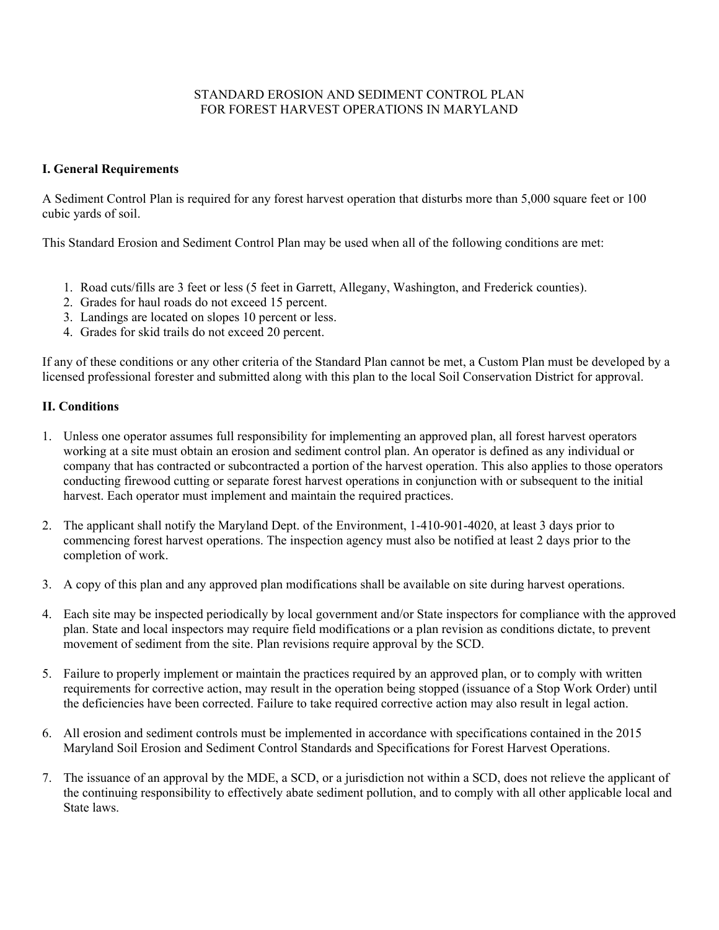#### STANDARD EROSION AND SEDIMENT CONTROL PLAN FOR FOREST HARVEST OPERATIONS IN MARYLAND

#### **I. General Requirements**

A Sediment Control Plan is required for any forest harvest operation that disturbs more than 5,000 square feet or 100 cubic yards of soil.

This Standard Erosion and Sediment Control Plan may be used when all of the following conditions are met:

- 1. Road cuts/fills are 3 feet or less (5 feet in Garrett, Allegany, Washington, and Frederick counties).
- 2. Grades for haul roads do not exceed 15 percent.
- 3. Landings are located on slopes 10 percent or less.
- 4. Grades for skid trails do not exceed 20 percent.

If any of these conditions or any other criteria of the Standard Plan cannot be met, a Custom Plan must be developed by a licensed professional forester and submitted along with this plan to the local Soil Conservation District for approval.

#### **II. Conditions**

- 1. Unless one operator assumes full responsibility for implementing an approved plan, all forest harvest operators working at a site must obtain an erosion and sediment control plan. An operator is defined as any individual or company that has contracted or subcontracted a portion of the harvest operation. This also applies to those operators conducting firewood cutting or separate forest harvest operations in conjunction with or subsequent to the initial harvest. Each operator must implement and maintain the required practices.
- 2. The applicant shall notify the Maryland Dept. of the Environment, 1-410-901-4020, at least 3 days prior to commencing forest harvest operations. The inspection agency must also be notified at least 2 days prior to the completion of work.
- 3. A copy of this plan and any approved plan modifications shall be available on site during harvest operations.
- 4. Each site may be inspected periodically by local government and/or State inspectors for compliance with the approved plan. State and local inspectors may require field modifications or a plan revision as conditions dictate, to prevent movement of sediment from the site. Plan revisions require approval by the SCD.
- 5. Failure to properly implement or maintain the practices required by an approved plan, or to comply with written requirements for corrective action, may result in the operation being stopped (issuance of a Stop Work Order) until the deficiencies have been corrected. Failure to take required corrective action may also result in legal action.
- 6. All erosion and sediment controls must be implemented in accordance with specifications contained in the 2015 Maryland Soil Erosion and Sediment Control Standards and Specifications for Forest Harvest Operations.
- 7. The issuance of an approval by the MDE, a SCD, or a jurisdiction not within a SCD, does not relieve the applicant of the continuing responsibility to effectively abate sediment pollution, and to comply with all other applicable local and State laws.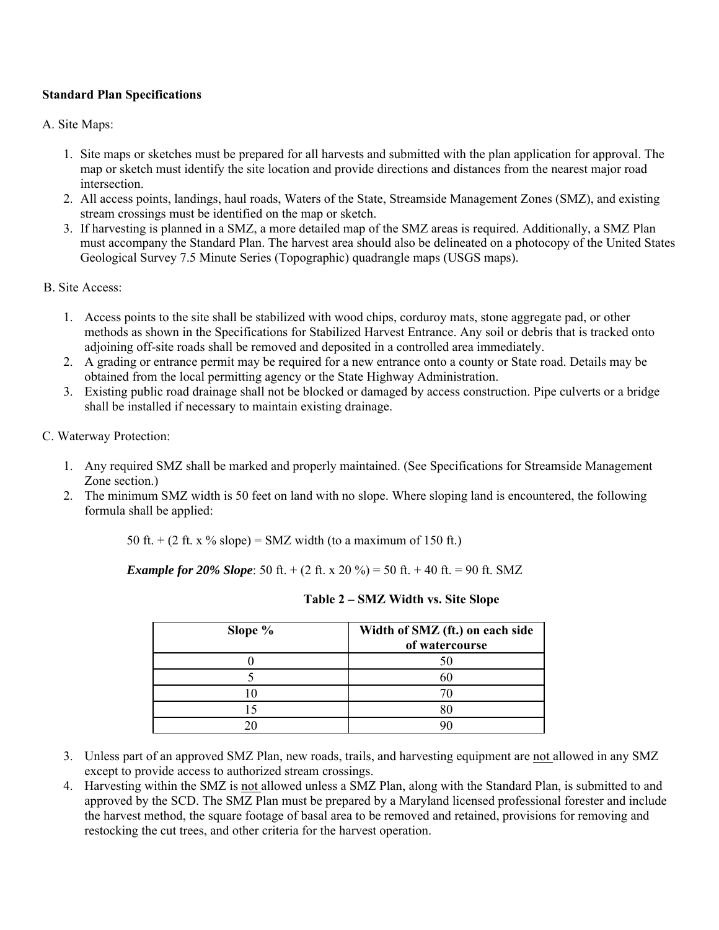### **Standard Plan Specifications**

#### A. Site Maps:

- 1. Site maps or sketches must be prepared for all harvests and submitted with the plan application for approval. The map or sketch must identify the site location and provide directions and distances from the nearest major road intersection.
- 2. All access points, landings, haul roads, Waters of the State, Streamside Management Zones (SMZ), and existing stream crossings must be identified on the map or sketch.
- 3. If harvesting is planned in a SMZ, a more detailed map of the SMZ areas is required. Additionally, a SMZ Plan must accompany the Standard Plan. The harvest area should also be delineated on a photocopy of the United States Geological Survey 7.5 Minute Series (Topographic) quadrangle maps (USGS maps).

#### B. Site Access:

- 1. Access points to the site shall be stabilized with wood chips, corduroy mats, stone aggregate pad, or other methods as shown in the Specifications for Stabilized Harvest Entrance. Any soil or debris that is tracked onto adjoining off-site roads shall be removed and deposited in a controlled area immediately.
- 2. A grading or entrance permit may be required for a new entrance onto a county or State road. Details may be obtained from the local permitting agency or the State Highway Administration.
- 3. Existing public road drainage shall not be blocked or damaged by access construction. Pipe culverts or a bridge shall be installed if necessary to maintain existing drainage.

#### C. Waterway Protection:

- 1. Any required SMZ shall be marked and properly maintained. (See Specifications for Streamside Management Zone section.)
- 2. The minimum SMZ width is 50 feet on land with no slope. Where sloping land is encountered, the following formula shall be applied:

50 ft.  $+$  (2 ft. x % slope) = SMZ width (to a maximum of 150 ft.)

*Example for 20% Slope*: 50 ft. + (2 ft. x 20 %) = 50 ft. + 40 ft. = 90 ft. SMZ

| Slope % | Width of SMZ (ft.) on each side<br>of watercourse |
|---------|---------------------------------------------------|
|         |                                                   |
|         |                                                   |
|         |                                                   |
|         |                                                   |
|         |                                                   |

| Table 2 – SMZ Width vs. Site Slope |  |  |  |  |  |
|------------------------------------|--|--|--|--|--|
|------------------------------------|--|--|--|--|--|

- 3. Unless part of an approved SMZ Plan, new roads, trails, and harvesting equipment are not allowed in any SMZ except to provide access to authorized stream crossings.
- 4. Harvesting within the SMZ is not allowed unless a SMZ Plan, along with the Standard Plan, is submitted to and approved by the SCD. The SMZ Plan must be prepared by a Maryland licensed professional forester and include the harvest method, the square footage of basal area to be removed and retained, provisions for removing and restocking the cut trees, and other criteria for the harvest operation.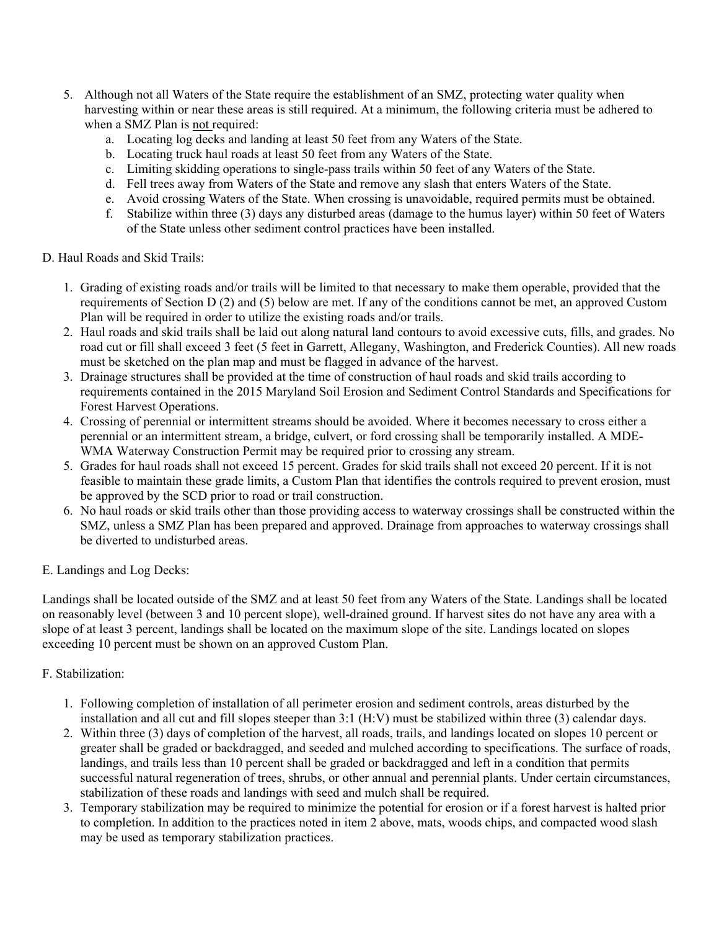- 5. Although not all Waters of the State require the establishment of an SMZ, protecting water quality when harvesting within or near these areas is still required. At a minimum, the following criteria must be adhered to when a SMZ Plan is not required:
	- a. Locating log decks and landing at least 50 feet from any Waters of the State.
	- b. Locating truck haul roads at least 50 feet from any Waters of the State.
	- c. Limiting skidding operations to single-pass trails within 50 feet of any Waters of the State.
	- d. Fell trees away from Waters of the State and remove any slash that enters Waters of the State.
	- e. Avoid crossing Waters of the State. When crossing is unavoidable, required permits must be obtained.
	- f. Stabilize within three (3) days any disturbed areas (damage to the humus layer) within 50 feet of Waters of the State unless other sediment control practices have been installed.

#### D. Haul Roads and Skid Trails:

- 1. Grading of existing roads and/or trails will be limited to that necessary to make them operable, provided that the requirements of Section D (2) and (5) below are met. If any of the conditions cannot be met, an approved Custom Plan will be required in order to utilize the existing roads and/or trails.
- 2. Haul roads and skid trails shall be laid out along natural land contours to avoid excessive cuts, fills, and grades. No road cut or fill shall exceed 3 feet (5 feet in Garrett, Allegany, Washington, and Frederick Counties). All new roads must be sketched on the plan map and must be flagged in advance of the harvest.
- 3. Drainage structures shall be provided at the time of construction of haul roads and skid trails according to requirements contained in the 2015 Maryland Soil Erosion and Sediment Control Standards and Specifications for Forest Harvest Operations.
- 4. Crossing of perennial or intermittent streams should be avoided. Where it becomes necessary to cross either a perennial or an intermittent stream, a bridge, culvert, or ford crossing shall be temporarily installed. A MDE-WMA Waterway Construction Permit may be required prior to crossing any stream.
- 5. Grades for haul roads shall not exceed 15 percent. Grades for skid trails shall not exceed 20 percent. If it is not feasible to maintain these grade limits, a Custom Plan that identifies the controls required to prevent erosion, must be approved by the SCD prior to road or trail construction.
- 6. No haul roads or skid trails other than those providing access to waterway crossings shall be constructed within the SMZ, unless a SMZ Plan has been prepared and approved. Drainage from approaches to waterway crossings shall be diverted to undisturbed areas.
- E. Landings and Log Decks:

Landings shall be located outside of the SMZ and at least 50 feet from any Waters of the State. Landings shall be located on reasonably level (between 3 and 10 percent slope), well-drained ground. If harvest sites do not have any area with a slope of at least 3 percent, landings shall be located on the maximum slope of the site. Landings located on slopes exceeding 10 percent must be shown on an approved Custom Plan.

#### F. Stabilization:

- 1. Following completion of installation of all perimeter erosion and sediment controls, areas disturbed by the installation and all cut and fill slopes steeper than 3:1 (H:V) must be stabilized within three (3) calendar days.
- 2. Within three (3) days of completion of the harvest, all roads, trails, and landings located on slopes 10 percent or greater shall be graded or backdragged, and seeded and mulched according to specifications. The surface of roads, landings, and trails less than 10 percent shall be graded or backdragged and left in a condition that permits successful natural regeneration of trees, shrubs, or other annual and perennial plants. Under certain circumstances, stabilization of these roads and landings with seed and mulch shall be required.
- 3. Temporary stabilization may be required to minimize the potential for erosion or if a forest harvest is halted prior to completion. In addition to the practices noted in item 2 above, mats, woods chips, and compacted wood slash may be used as temporary stabilization practices.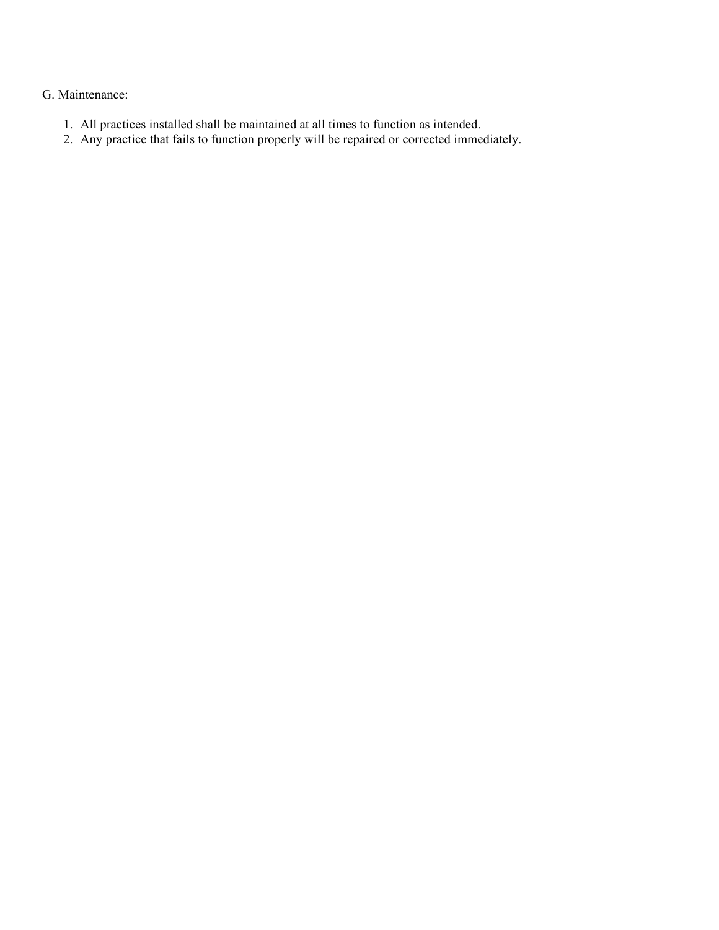## G. Maintenance:

- 1. All practices installed shall be maintained at all times to function as intended.
- 2. Any practice that fails to function properly will be repaired or corrected immediately.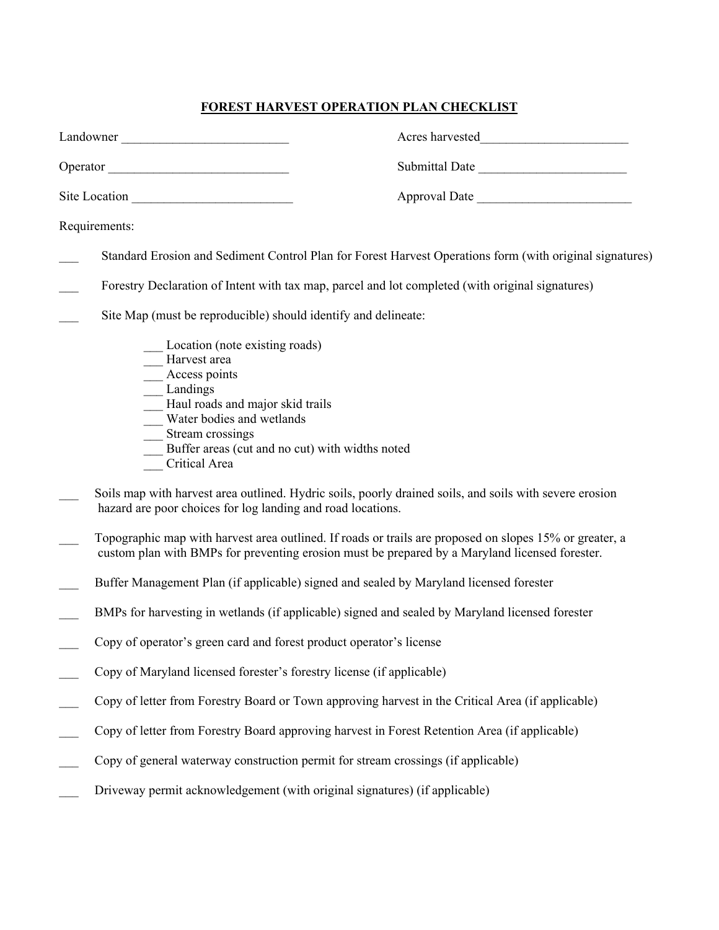# **FOREST HARVEST OPERATION PLAN CHECKLIST**

| Landowner                                                                                                                                                                                                                                        |
|--------------------------------------------------------------------------------------------------------------------------------------------------------------------------------------------------------------------------------------------------|
| Submittal Date<br>Operator                                                                                                                                                                                                                       |
| Site Location<br>Approval Date                                                                                                                                                                                                                   |
| Requirements:                                                                                                                                                                                                                                    |
| Standard Erosion and Sediment Control Plan for Forest Harvest Operations form (with original signatures)                                                                                                                                         |
| Forestry Declaration of Intent with tax map, parcel and lot completed (with original signatures)                                                                                                                                                 |
| Site Map (must be reproducible) should identify and delineate:                                                                                                                                                                                   |
| Location (note existing roads)<br>-Harvest area<br>__ Access points<br>__ Landings<br>- Haul roads and major skid trails<br>Water bodies and wetlands<br>__ Stream crossings<br>Buffer areas (cut and no cut) with widths noted<br>Critical Area |
| Soils map with harvest area outlined. Hydric soils, poorly drained soils, and soils with severe erosion<br>hazard are poor choices for log landing and road locations.                                                                           |
| Topographic map with harvest area outlined. If roads or trails are proposed on slopes 15% or greater, a<br>custom plan with BMPs for preventing erosion must be prepared by a Maryland licensed forester.                                        |
| Buffer Management Plan (if applicable) signed and sealed by Maryland licensed forester                                                                                                                                                           |
| BMPs for harvesting in wetlands (if applicable) signed and sealed by Maryland licensed forester                                                                                                                                                  |
| Copy of operator's green card and forest product operator's license                                                                                                                                                                              |
| Copy of Maryland licensed forester's forestry license (if applicable)                                                                                                                                                                            |
| Copy of letter from Forestry Board or Town approving harvest in the Critical Area (if applicable)                                                                                                                                                |
| Copy of letter from Forestry Board approving harvest in Forest Retention Area (if applicable)                                                                                                                                                    |
| Copy of general waterway construction permit for stream crossings (if applicable)                                                                                                                                                                |
| Driveway permit acknowledgement (with original signatures) (if applicable)                                                                                                                                                                       |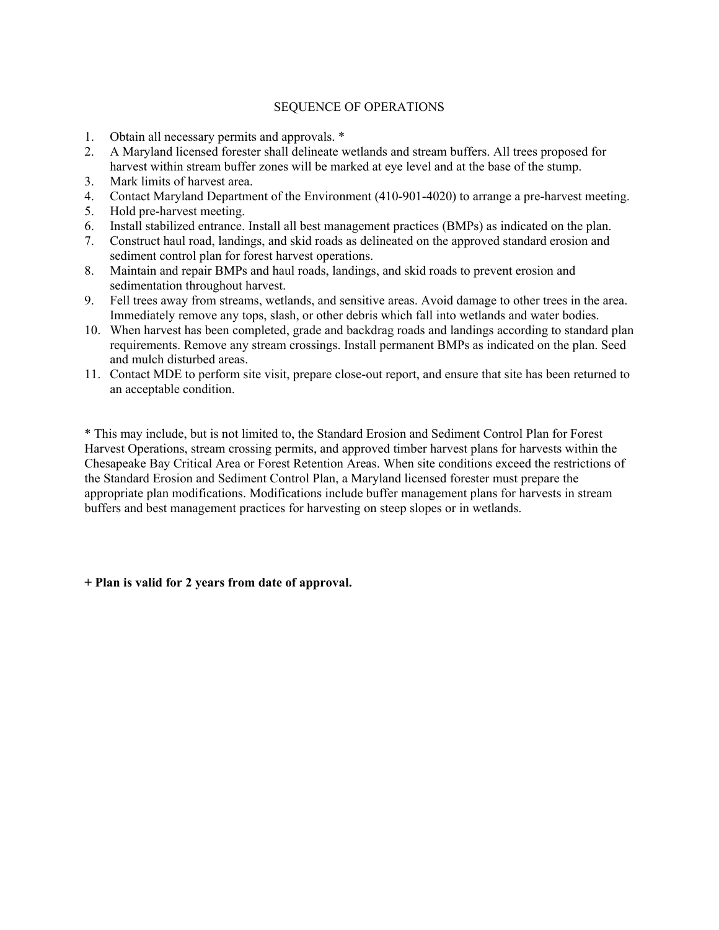#### SEQUENCE OF OPERATIONS

- 1. Obtain all necessary permits and approvals. \*
- 2. A Maryland licensed forester shall delineate wetlands and stream buffers. All trees proposed for harvest within stream buffer zones will be marked at eye level and at the base of the stump.
- 3. Mark limits of harvest area.
- 4. Contact Maryland Department of the Environment (410-901-4020) to arrange a pre-harvest meeting.
- 5. Hold pre-harvest meeting.
- 6. Install stabilized entrance. Install all best management practices (BMPs) as indicated on the plan.
- 7. Construct haul road, landings, and skid roads as delineated on the approved standard erosion and sediment control plan for forest harvest operations.
- 8. Maintain and repair BMPs and haul roads, landings, and skid roads to prevent erosion and sedimentation throughout harvest.
- 9. Fell trees away from streams, wetlands, and sensitive areas. Avoid damage to other trees in the area. Immediately remove any tops, slash, or other debris which fall into wetlands and water bodies.
- 10. When harvest has been completed, grade and backdrag roads and landings according to standard plan requirements. Remove any stream crossings. Install permanent BMPs as indicated on the plan. Seed and mulch disturbed areas.
- 11. Contact MDE to perform site visit, prepare close-out report, and ensure that site has been returned to an acceptable condition.

\* This may include, but is not limited to, the Standard Erosion and Sediment Control Plan for Forest Harvest Operations, stream crossing permits, and approved timber harvest plans for harvests within the Chesapeake Bay Critical Area or Forest Retention Areas. When site conditions exceed the restrictions of the Standard Erosion and Sediment Control Plan, a Maryland licensed forester must prepare the appropriate plan modifications. Modifications include buffer management plans for harvests in stream buffers and best management practices for harvesting on steep slopes or in wetlands.

**+ Plan is valid for 2 years from date of approval.**